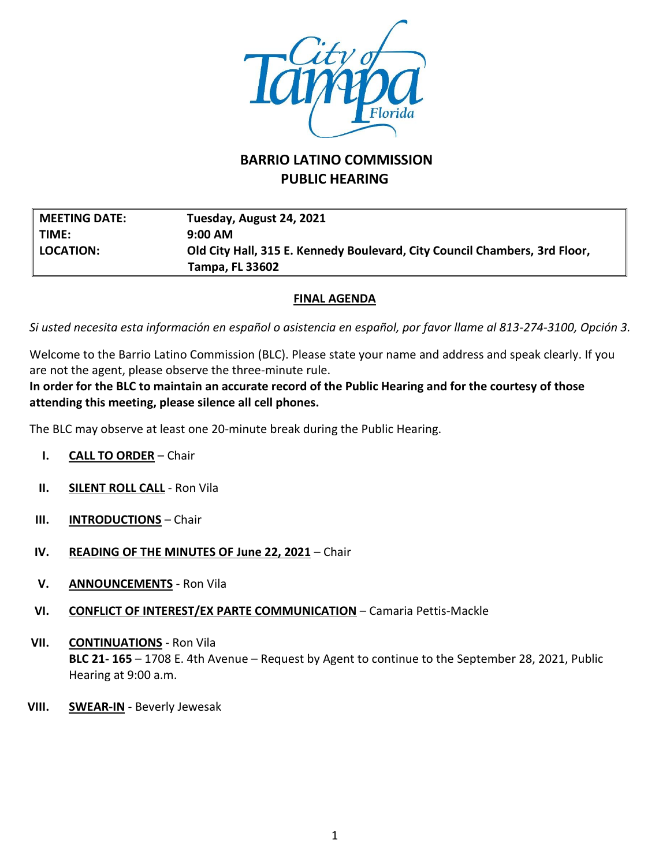

## **BARRIO LATINO COMMISSION PUBLIC HEARING**

| $\parallel$ MEETING DATE: | Tuesday, August 24, 2021                                                   |
|---------------------------|----------------------------------------------------------------------------|
| ∥ TIME:                   | $9:00 \, \text{AM}$                                                        |
| <b>LOCATION:</b>          | Old City Hall, 315 E. Kennedy Boulevard, City Council Chambers, 3rd Floor, |
|                           | <b>Tampa, FL 33602</b>                                                     |

## **FINAL AGENDA**

*Si usted necesita esta información en español o asistencia en español, por favor llame al 813-274-3100, Opción 3.*

Welcome to the Barrio Latino Commission (BLC). Please state your name and address and speak clearly. If you are not the agent, please observe the three-minute rule.

**In order for the BLC to maintain an accurate record of the Public Hearing and for the courtesy of those attending this meeting, please silence all cell phones.**

The BLC may observe at least one 20-minute break during the Public Hearing.

- **I. CALL TO ORDER** Chair
- **II. SILENT ROLL CALL** Ron Vila
- **III. INTRODUCTIONS** Chair
- **IV. READING OF THE MINUTES OF June 22, 2021** Chair
- **V. ANNOUNCEMENTS** Ron Vila
- **VI. CONFLICT OF INTEREST/EX PARTE COMMUNICATION** Camaria Pettis-Mackle
- **VII. CONTINUATIONS** Ron Vila **BLC 21- 165** – 1708 E. 4th Avenue – Request by Agent to continue to the September 28, 2021, Public Hearing at 9:00 a.m.
- **VIII. SWEAR-IN** Beverly Jewesak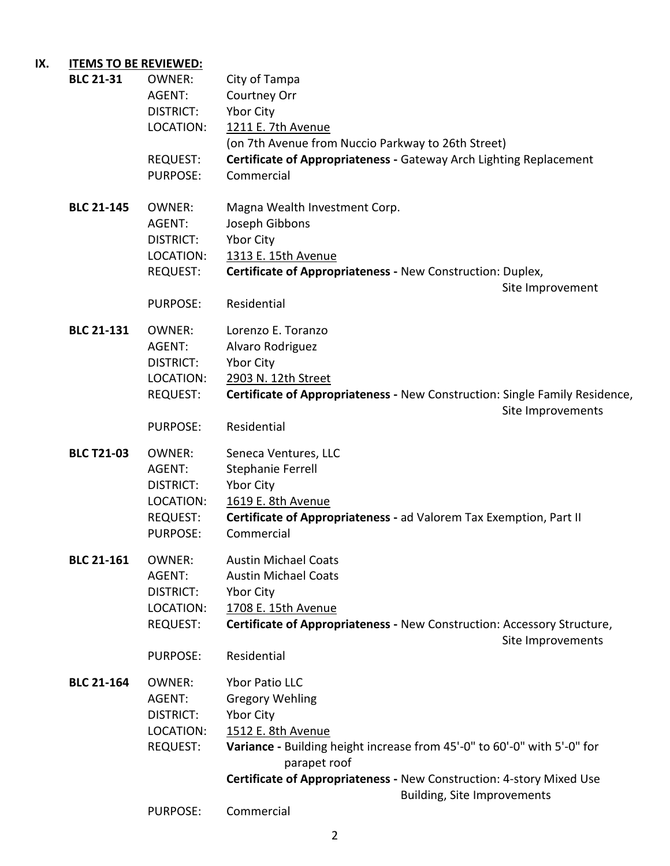## **IX. ITEMS TO BE REVIEWED:**

| <b>BLC 21-31</b>  | <b>OWNER:</b><br>AGENT:<br><b>DISTRICT:</b><br>LOCATION:<br><b>REQUEST:</b><br><b>PURPOSE:</b> | City of Tampa<br>Courtney Orr<br>Ybor City<br>1211 E. 7th Avenue<br>(on 7th Avenue from Nuccio Parkway to 26th Street)<br>Certificate of Appropriateness - Gateway Arch Lighting Replacement<br>Commercial                                      |
|-------------------|------------------------------------------------------------------------------------------------|-------------------------------------------------------------------------------------------------------------------------------------------------------------------------------------------------------------------------------------------------|
| <b>BLC 21-145</b> | <b>OWNER:</b><br>AGENT:<br>DISTRICT:<br>LOCATION:<br><b>REQUEST:</b>                           | Magna Wealth Investment Corp.<br>Joseph Gibbons<br>Ybor City<br>1313 E. 15th Avenue<br>Certificate of Appropriateness - New Construction: Duplex,<br>Site Improvement                                                                           |
|                   | <b>PURPOSE:</b>                                                                                | Residential                                                                                                                                                                                                                                     |
| <b>BLC 21-131</b> | <b>OWNER:</b><br>AGENT:<br><b>DISTRICT:</b><br>LOCATION:<br><b>REQUEST:</b>                    | Lorenzo E. Toranzo<br>Alvaro Rodriguez<br>Ybor City<br>2903 N. 12th Street<br>Certificate of Appropriateness - New Construction: Single Family Residence,<br>Site Improvements                                                                  |
|                   | <b>PURPOSE:</b>                                                                                | Residential                                                                                                                                                                                                                                     |
| <b>BLC T21-03</b> | <b>OWNER:</b><br>AGENT:<br><b>DISTRICT:</b><br>LOCATION:<br><b>REQUEST:</b><br><b>PURPOSE:</b> | Seneca Ventures, LLC<br>Stephanie Ferrell<br>Ybor City<br>1619 E. 8th Avenue<br>Certificate of Appropriateness - ad Valorem Tax Exemption, Part II<br>Commercial                                                                                |
| <b>BLC 21-161</b> | OWNFR:<br>AGENT:<br><b>DISTRICT:</b><br>LOCATION:<br><b>REQUEST:</b><br><b>PURPOSE:</b>        | <b>Austin Michael Coats</b><br><b>Austin Michael Coats</b><br>Ybor City<br>1708 E. 15th Avenue<br>Certificate of Appropriateness - New Construction: Accessory Structure,<br>Site Improvements<br>Residential                                   |
| <b>BLC 21-164</b> | <b>OWNER:</b><br>AGENT:<br><b>DISTRICT:</b><br>LOCATION:<br><b>REQUEST:</b>                    | Ybor Patio LLC<br><b>Gregory Wehling</b><br>Ybor City<br>1512 E. 8th Avenue<br>Variance - Building height increase from 45'-0" to 60'-0" with 5'-0" for<br>parapet roof<br>Certificate of Appropriateness - New Construction: 4-story Mixed Use |
|                   |                                                                                                | <b>Building, Site Improvements</b>                                                                                                                                                                                                              |
|                   | PURPOSE:                                                                                       | Commercial                                                                                                                                                                                                                                      |